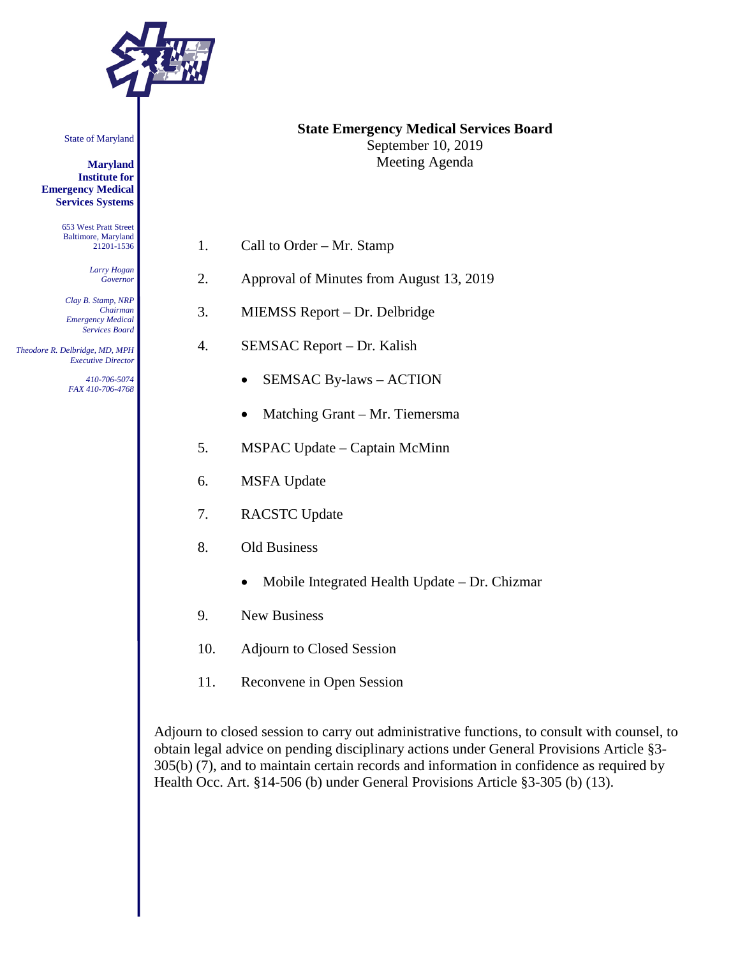

State of Maryland

**Maryland Institute for Emergency Medical Services Systems**

> 653 West Pratt Street Baltimore, Maryland 21201-1536

> > *Larry Hogan Governor*

*Clay B. Stamp, NRP Chairman Emergency Medical Services Board*

 *Theodore R. Delbridge, MD, MPH Executive Director*

> *410-706-5074 FAX 410-706-4768*

- **State Emergency Medical Services Board** September 10, 2019 Meeting Agenda
- 1. Call to Order Mr. Stamp
- 2. Approval of Minutes from August 13, 2019
- 3. MIEMSS Report Dr. Delbridge
- 4. SEMSAC Report Dr. Kalish
	- SEMSAC By-laws ACTION
	- Matching Grant Mr. Tiemersma
- 5. MSPAC Update Captain McMinn
- 6. MSFA Update
- 7. RACSTC Update
- 8. Old Business
	- Mobile Integrated Health Update Dr. Chizmar
- 9. New Business
- 10. Adjourn to Closed Session
- 11. Reconvene in Open Session

Adjourn to closed session to carry out administrative functions, to consult with counsel, to obtain legal advice on pending disciplinary actions under General Provisions Article §3- 305(b) (7), and to maintain certain records and information in confidence as required by Health Occ. Art. §14-506 (b) under General Provisions Article §3-305 (b) (13).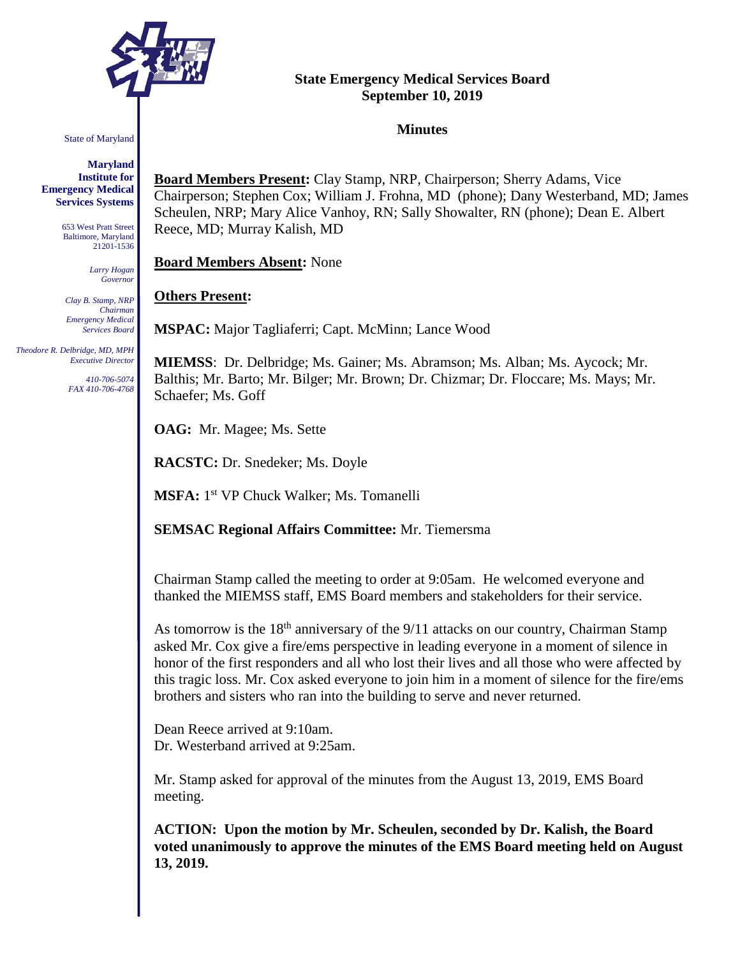

#### State of Maryland

**Maryland Institute for Emergency Medical Services Systems**

> 653 West Pratt Street Baltimore, Maryland 21201-1536

> > *Larry Hogan Governor*

*Clay B. Stamp, NRP Chairman Emergency Medical Services Board*

 *Theodore R. Delbridge, MD, MPH Executive Director*

> *410-706-5074 FAX 410-706-4768*

## **State Emergency Medical Services Board September 10, 2019**

#### **Minutes**

**Board Members Present:** Clay Stamp, NRP, Chairperson; Sherry Adams, Vice Chairperson; Stephen Cox; William J. Frohna, MD (phone); Dany Westerband, MD; James Scheulen, NRP; Mary Alice Vanhoy, RN; Sally Showalter, RN (phone); Dean E. Albert Reece, MD; Murray Kalish, MD

**Board Members Absent:** None

#### **Others Present:**

**MSPAC:** Major Tagliaferri; Capt. McMinn; Lance Wood

**MIEMSS**: Dr. Delbridge; Ms. Gainer; Ms. Abramson; Ms. Alban; Ms. Aycock; Mr. Balthis; Mr. Barto; Mr. Bilger; Mr. Brown; Dr. Chizmar; Dr. Floccare; Ms. Mays; Mr. Schaefer; Ms. Goff

**OAG:** Mr. Magee; Ms. Sette

**RACSTC:** Dr. Snedeker; Ms. Doyle

**MSFA:** 1<sup>st</sup> VP Chuck Walker; Ms. Tomanelli

**SEMSAC Regional Affairs Committee:** Mr. Tiemersma

Chairman Stamp called the meeting to order at 9:05am. He welcomed everyone and thanked the MIEMSS staff, EMS Board members and stakeholders for their service.

As tomorrow is the  $18<sup>th</sup>$  anniversary of the  $9/11$  attacks on our country, Chairman Stamp asked Mr. Cox give a fire/ems perspective in leading everyone in a moment of silence in honor of the first responders and all who lost their lives and all those who were affected by this tragic loss. Mr. Cox asked everyone to join him in a moment of silence for the fire/ems brothers and sisters who ran into the building to serve and never returned.

Dean Reece arrived at 9:10am. Dr. Westerband arrived at 9:25am.

Mr. Stamp asked for approval of the minutes from the August 13, 2019, EMS Board meeting.

**ACTION: Upon the motion by Mr. Scheulen, seconded by Dr. Kalish, the Board voted unanimously to approve the minutes of the EMS Board meeting held on August 13, 2019.**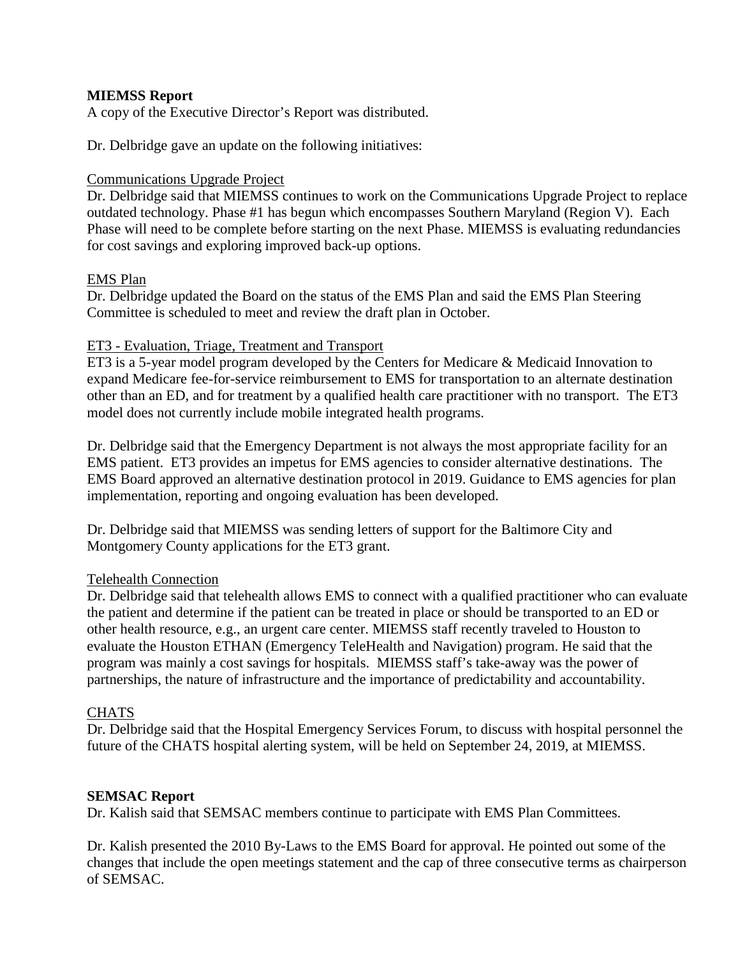## **MIEMSS Report**

A copy of the Executive Director's Report was distributed.

Dr. Delbridge gave an update on the following initiatives:

## Communications Upgrade Project

Dr. Delbridge said that MIEMSS continues to work on the Communications Upgrade Project to replace outdated technology. Phase #1 has begun which encompasses Southern Maryland (Region V). Each Phase will need to be complete before starting on the next Phase. MIEMSS is evaluating redundancies for cost savings and exploring improved back-up options.

## EMS Plan

Dr. Delbridge updated the Board on the status of the EMS Plan and said the EMS Plan Steering Committee is scheduled to meet and review the draft plan in October.

## ET3 - Evaluation, Triage, Treatment and Transport

ET3 is a 5-year model program developed by the Centers for Medicare & Medicaid Innovation to expand Medicare fee-for-service reimbursement to EMS for transportation to an alternate destination other than an ED, and for treatment by a qualified health care practitioner with no transport. The ET3 model does not currently include mobile integrated health programs.

Dr. Delbridge said that the Emergency Department is not always the most appropriate facility for an EMS patient. ET3 provides an impetus for EMS agencies to consider alternative destinations. The EMS Board approved an alternative destination protocol in 2019. Guidance to EMS agencies for plan implementation, reporting and ongoing evaluation has been developed.

Dr. Delbridge said that MIEMSS was sending letters of support for the Baltimore City and Montgomery County applications for the ET3 grant.

## Telehealth Connection

Dr. Delbridge said that telehealth allows EMS to connect with a qualified practitioner who can evaluate the patient and determine if the patient can be treated in place or should be transported to an ED or other health resource, e.g., an urgent care center. MIEMSS staff recently traveled to Houston to evaluate the Houston ETHAN (Emergency TeleHealth and Navigation) program. He said that the program was mainly a cost savings for hospitals. MIEMSS staff's take-away was the power of partnerships, the nature of infrastructure and the importance of predictability and accountability.

## **CHATS**

Dr. Delbridge said that the Hospital Emergency Services Forum, to discuss with hospital personnel the future of the CHATS hospital alerting system, will be held on September 24, 2019, at MIEMSS.

## **SEMSAC Report**

Dr. Kalish said that SEMSAC members continue to participate with EMS Plan Committees.

Dr. Kalish presented the 2010 By-Laws to the EMS Board for approval. He pointed out some of the changes that include the open meetings statement and the cap of three consecutive terms as chairperson of SEMSAC.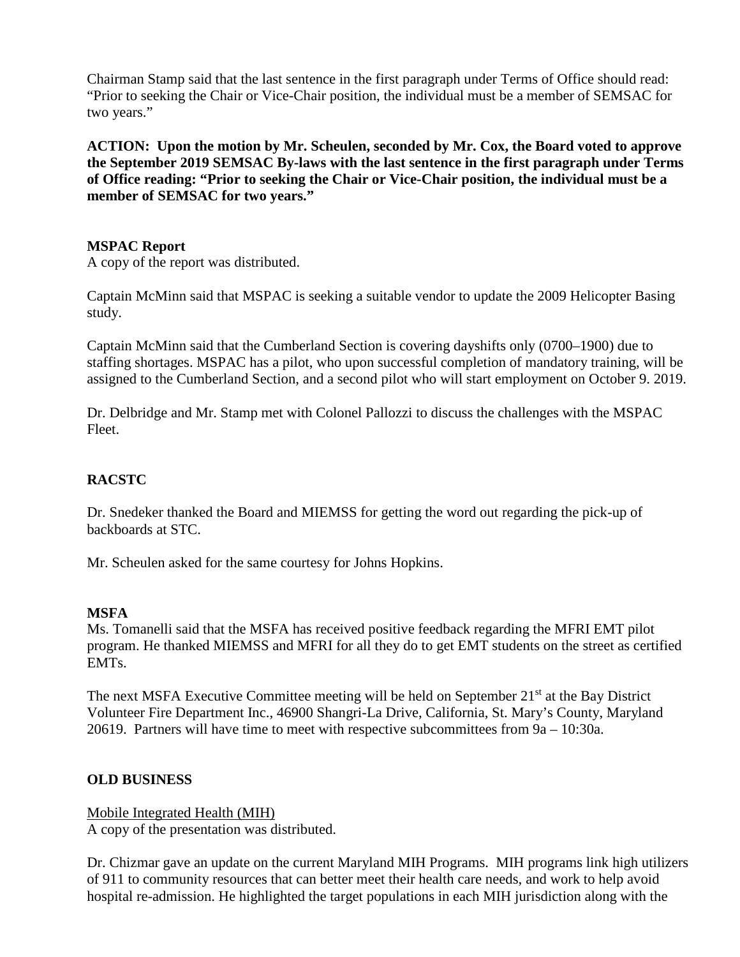Chairman Stamp said that the last sentence in the first paragraph under Terms of Office should read: "Prior to seeking the Chair or Vice-Chair position, the individual must be a member of SEMSAC for two years."

**ACTION: Upon the motion by Mr. Scheulen, seconded by Mr. Cox, the Board voted to approve the September 2019 SEMSAC By-laws with the last sentence in the first paragraph under Terms of Office reading: "Prior to seeking the Chair or Vice-Chair position, the individual must be a member of SEMSAC for two years."**

## **MSPAC Report**

A copy of the report was distributed.

Captain McMinn said that MSPAC is seeking a suitable vendor to update the 2009 Helicopter Basing study.

Captain McMinn said that the Cumberland Section is covering dayshifts only (0700–1900) due to staffing shortages. MSPAC has a pilot, who upon successful completion of mandatory training, will be assigned to the Cumberland Section, and a second pilot who will start employment on October 9. 2019.

Dr. Delbridge and Mr. Stamp met with Colonel Pallozzi to discuss the challenges with the MSPAC Fleet.

# **RACSTC**

Dr. Snedeker thanked the Board and MIEMSS for getting the word out regarding the pick-up of backboards at STC.

Mr. Scheulen asked for the same courtesy for Johns Hopkins.

## **MSFA**

Ms. Tomanelli said that the MSFA has received positive feedback regarding the MFRI EMT pilot program. He thanked MIEMSS and MFRI for all they do to get EMT students on the street as certified EMTs.

The next MSFA Executive Committee meeting will be held on September  $21<sup>st</sup>$  at the Bay District Volunteer Fire Department Inc., 46900 Shangri-La Drive, California, St. Mary's County, Maryland 20619. Partners will have time to meet with respective subcommittees from 9a – 10:30a.

## **OLD BUSINESS**

Mobile Integrated Health (MIH) A copy of the presentation was distributed.

Dr. Chizmar gave an update on the current Maryland MIH Programs. MIH programs link high utilizers of 911 to community resources that can better meet their health care needs, and work to help avoid hospital re-admission. He highlighted the target populations in each MIH jurisdiction along with the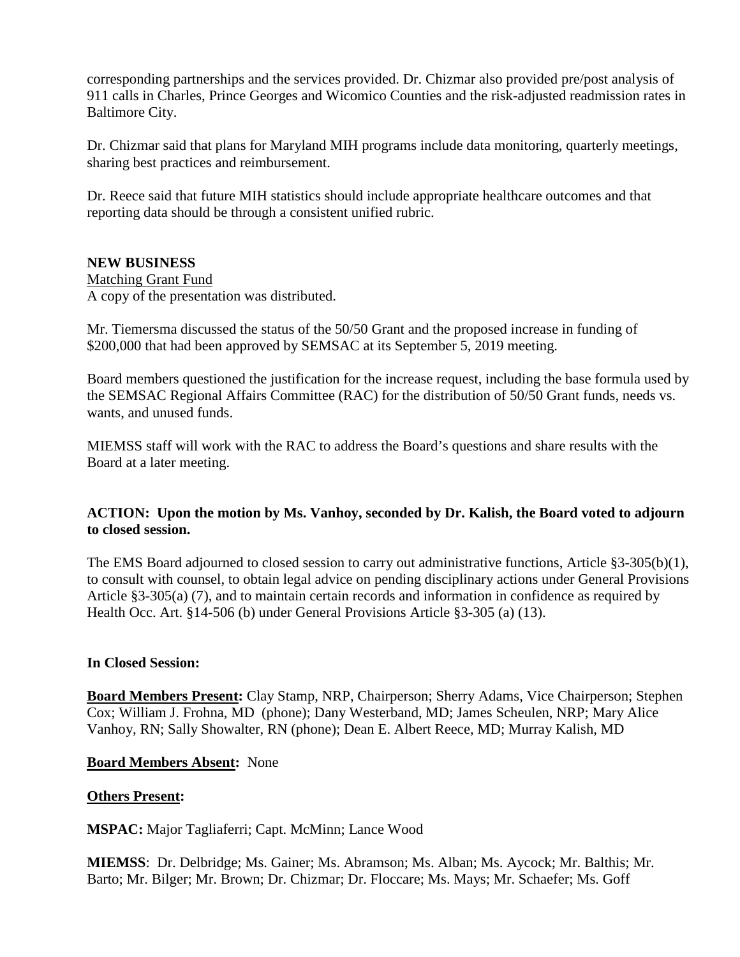corresponding partnerships and the services provided. Dr. Chizmar also provided pre/post analysis of 911 calls in Charles, Prince Georges and Wicomico Counties and the risk-adjusted readmission rates in Baltimore City.

Dr. Chizmar said that plans for Maryland MIH programs include data monitoring, quarterly meetings, sharing best practices and reimbursement.

Dr. Reece said that future MIH statistics should include appropriate healthcare outcomes and that reporting data should be through a consistent unified rubric.

## **NEW BUSINESS**

Matching Grant Fund A copy of the presentation was distributed.

Mr. Tiemersma discussed the status of the 50/50 Grant and the proposed increase in funding of \$200,000 that had been approved by SEMSAC at its September 5, 2019 meeting.

Board members questioned the justification for the increase request, including the base formula used by the SEMSAC Regional Affairs Committee (RAC) for the distribution of 50/50 Grant funds, needs vs. wants, and unused funds.

MIEMSS staff will work with the RAC to address the Board's questions and share results with the Board at a later meeting.

# **ACTION: Upon the motion by Ms. Vanhoy, seconded by Dr. Kalish, the Board voted to adjourn to closed session.**

The EMS Board adjourned to closed session to carry out administrative functions, Article §3-305(b)(1), to consult with counsel, to obtain legal advice on pending disciplinary actions under General Provisions Article §3-305(a) (7), and to maintain certain records and information in confidence as required by Health Occ. Art. §14-506 (b) under General Provisions Article §3-305 (a) (13).

## **In Closed Session:**

**Board Members Present:** Clay Stamp, NRP, Chairperson; Sherry Adams, Vice Chairperson; Stephen Cox; William J. Frohna, MD (phone); Dany Westerband, MD; James Scheulen, NRP; Mary Alice Vanhoy, RN; Sally Showalter, RN (phone); Dean E. Albert Reece, MD; Murray Kalish, MD

## **Board Members Absent:** None

# **Others Present:**

**MSPAC:** Major Tagliaferri; Capt. McMinn; Lance Wood

**MIEMSS**: Dr. Delbridge; Ms. Gainer; Ms. Abramson; Ms. Alban; Ms. Aycock; Mr. Balthis; Mr. Barto; Mr. Bilger; Mr. Brown; Dr. Chizmar; Dr. Floccare; Ms. Mays; Mr. Schaefer; Ms. Goff